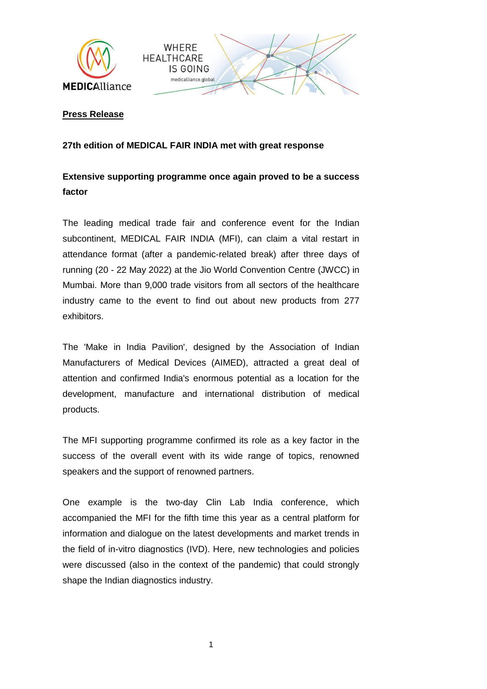



## **Press Release**

## **27th edition of MEDICAL FAIR INDIA met with great response**

## **Extensive supporting programme once again proved to be a success factor**

The leading medical trade fair and conference event for the Indian subcontinent, MEDICAL FAIR INDIA (MFI), can claim a vital restart in attendance format (after a pandemic-related break) after three days of running (20 - 22 May 2022) at the Jio World Convention Centre (JWCC) in Mumbai. More than 9,000 trade visitors from all sectors of the healthcare industry came to the event to find out about new products from 277 exhibitors.

The 'Make in India Pavilion', designed by the Association of Indian Manufacturers of Medical Devices (AIMED), attracted a great deal of attention and confirmed India's enormous potential as a location for the development, manufacture and international distribution of medical products.

The MFI supporting programme confirmed its role as a key factor in the success of the overall event with its wide range of topics, renowned speakers and the support of renowned partners.

One example is the two-day Clin Lab India conference, which accompanied the MFI for the fifth time this year as a central platform for information and dialogue on the latest developments and market trends in the field of in-vitro diagnostics (IVD). Here, new technologies and policies were discussed (also in the context of the pandemic) that could strongly shape the Indian diagnostics industry.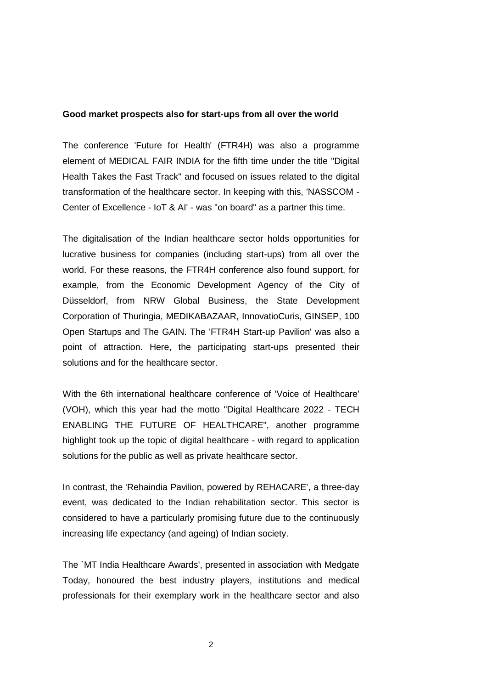## **Good market prospects also for start-ups from all over the world**

The conference 'Future for Health' (FTR4H) was also a programme element of MEDICAL FAIR INDIA for the fifth time under the title "Digital Health Takes the Fast Track" and focused on issues related to the digital transformation of the healthcare sector. In keeping with this, 'NASSCOM - Center of Excellence - IoT & AI' - was "on board" as a partner this time.

The digitalisation of the Indian healthcare sector holds opportunities for lucrative business for companies (including start-ups) from all over the world. For these reasons, the FTR4H conference also found support, for example, from the Economic Development Agency of the City of Düsseldorf, from NRW Global Business, the State Development Corporation of Thuringia, MEDIKABAZAAR, InnovatioCuris, GINSEP, 100 Open Startups and The GAIN. The 'FTR4H Start-up Pavilion' was also a point of attraction. Here, the participating start-ups presented their solutions and for the healthcare sector.

With the 6th international healthcare conference of 'Voice of Healthcare' (VOH), which this year had the motto "Digital Healthcare 2022 - TECH ENABLING THE FUTURE OF HEALTHCARE", another programme highlight took up the topic of digital healthcare - with regard to application solutions for the public as well as private healthcare sector.

In contrast, the 'Rehaindia Pavilion, powered by REHACARE', a three-day event, was dedicated to the Indian rehabilitation sector. This sector is considered to have a particularly promising future due to the continuously increasing life expectancy (and ageing) of Indian society.

The `MT India Healthcare Awards', presented in association with Medgate Today, honoured the best industry players, institutions and medical professionals for their exemplary work in the healthcare sector and also